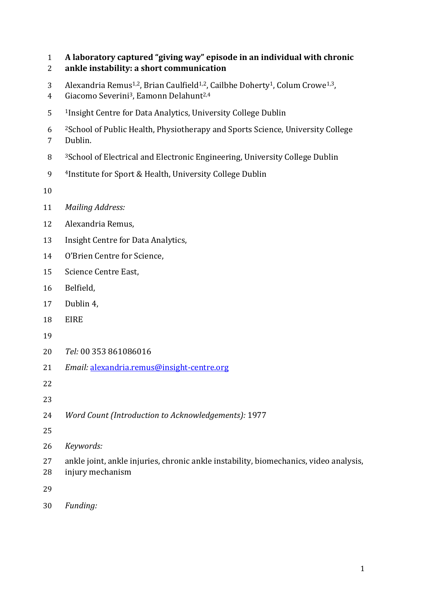| $\mathbf{1}$<br>2 | A laboratory captured "giving way" episode in an individual with chronic<br>ankle instability: a short communication                                                                             |
|-------------------|--------------------------------------------------------------------------------------------------------------------------------------------------------------------------------------------------|
| 3<br>4            | Alexandria Remus <sup>1,2</sup> , Brian Caulfield <sup>1,2</sup> , Cailbhe Doherty <sup>1</sup> , Colum Crowe <sup>1,3</sup> ,<br>Giacomo Severini <sup>3</sup> , Eamonn Delahunt <sup>2,4</sup> |
| 5                 | <sup>1</sup> Insight Centre for Data Analytics, University College Dublin                                                                                                                        |
| 6<br>7            | <sup>2</sup> School of Public Health, Physiotherapy and Sports Science, University College<br>Dublin.                                                                                            |
| 8                 | <sup>3</sup> School of Electrical and Electronic Engineering, University College Dublin                                                                                                          |
| 9                 | <sup>4</sup> Institute for Sport & Health, University College Dublin                                                                                                                             |
| 10                |                                                                                                                                                                                                  |
| 11                | <b>Mailing Address:</b>                                                                                                                                                                          |
| 12                | Alexandria Remus,                                                                                                                                                                                |
| 13                | Insight Centre for Data Analytics,                                                                                                                                                               |
| 14                | O'Brien Centre for Science,                                                                                                                                                                      |
| 15                | Science Centre East,                                                                                                                                                                             |
| 16                | Belfield,                                                                                                                                                                                        |
| 17                | Dublin 4,                                                                                                                                                                                        |
| 18                | <b>EIRE</b>                                                                                                                                                                                      |
| 19                |                                                                                                                                                                                                  |
| 20                | Tel: 00 353 861086016                                                                                                                                                                            |
| 21                | Email: alexandria.remus@insight-centre.org                                                                                                                                                       |
| 22                |                                                                                                                                                                                                  |
| 23                |                                                                                                                                                                                                  |
| 24                | Word Count (Introduction to Acknowledgements): 1977                                                                                                                                              |
| 25                |                                                                                                                                                                                                  |
| 26                | Keywords:                                                                                                                                                                                        |
| 27<br>28          | ankle joint, ankle injuries, chronic ankle instability, biomechanics, video analysis,<br>injury mechanism                                                                                        |
| 29                |                                                                                                                                                                                                  |
| 30                | Funding:                                                                                                                                                                                         |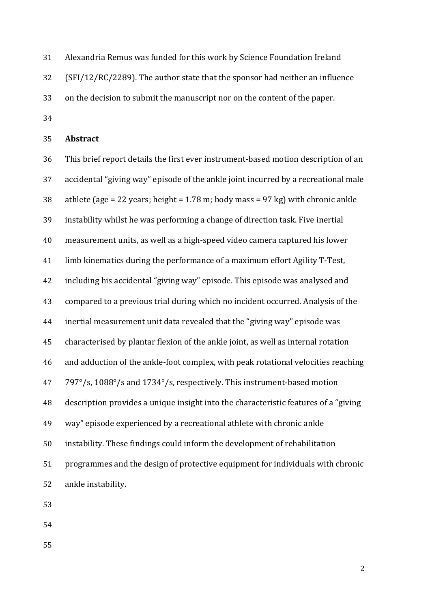Alexandria Remus was funded for this work by Science Foundation Ireland

(SFI/12/RC/2289). The author state that the sponsor had neither an influence

on the decision to submit the manuscript nor on the content of the paper.

**Abstract**

 This brief report details the first ever instrument-based motion description of an accidental "giving way" episode of the ankle joint incurred by a recreational male athlete (age = 22 years; height = 1.78 m; body mass = 97 kg) with chronic ankle instability whilst he was performing a change of direction task. Five inertial measurement units, as well as a high-speed video camera captured his lower limb kinematics during the performance of a maximum effort Agility T-Test, including his accidental "giving way" episode. This episode was analysed and compared to a previous trial during which no incident occurred. Analysis of the inertial measurement unit data revealed that the "giving way" episode was characterised by plantar flexion of the ankle joint, as well as internal rotation and adduction of the ankle-foot complex, with peak rotational velocities reaching 797°/s, 1088°/s and 1734°/s, respectively. This instrument-based motion description provides a unique insight into the characteristic features of a "giving way" episode experienced by a recreational athlete with chronic ankle instability. These findings could inform the development of rehabilitation programmes and the design of protective equipment for individuals with chronic ankle instability.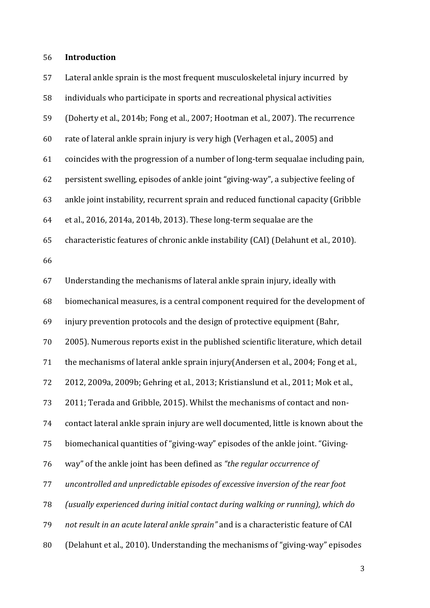## **Introduction**

| 57 | Lateral ankle sprain is the most frequent musculoskeletal injury incurred by        |
|----|-------------------------------------------------------------------------------------|
| 58 | individuals who participate in sports and recreational physical activities          |
| 59 | (Doherty et al., 2014b; Fong et al., 2007; Hootman et al., 2007). The recurrence    |
| 60 | rate of lateral ankle sprain injury is very high (Verhagen et al., 2005) and        |
| 61 | coincides with the progression of a number of long-term sequalae including pain,    |
| 62 | persistent swelling, episodes of ankle joint "giving-way", a subjective feeling of  |
| 63 | ankle joint instability, recurrent sprain and reduced functional capacity (Gribble  |
| 64 | et al., 2016, 2014a, 2014b, 2013). These long-term sequalae are the                 |
| 65 | characteristic features of chronic ankle instability (CAI) (Delahunt et al., 2010). |
| 66 |                                                                                     |
| 67 | Understanding the mechanisms of lateral ankle sprain injury, ideally with           |
| 68 | biomechanical measures, is a central component required for the development of      |
| 69 | injury prevention protocols and the design of protective equipment (Bahr,           |
| 70 | 2005). Numerous reports exist in the published scientific literature, which detail  |
| 71 | the mechanisms of lateral ankle sprain injury (Andersen et al., 2004; Fong et al.,  |
| 72 | 2012, 2009a, 2009b; Gehring et al., 2013; Kristianslund et al., 2011; Mok et al.,   |
| 73 | 2011; Terada and Gribble, 2015). Whilst the mechanisms of contact and non-          |
| 74 | contact lateral ankle sprain injury are well documented, little is known about the  |
| 75 | biomechanical quantities of "giving-way" episodes of the ankle joint. "Giving-      |
| 76 | way" of the ankle joint has been defined as "the regular occurrence of              |
| 77 | uncontrolled and unpredictable episodes of excessive inversion of the rear foot     |
| 78 | (usually experienced during initial contact during walking or running), which do    |
| 79 | not result in an acute lateral ankle sprain" and is a characteristic feature of CAI |
| 80 | (Delahunt et al., 2010). Understanding the mechanisms of "giving-way" episodes      |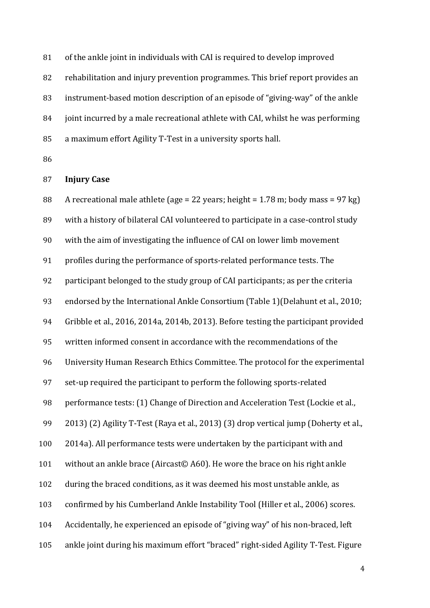of the ankle joint in individuals with CAI is required to develop improved rehabilitation and injury prevention programmes. This brief report provides an instrument-based motion description of an episode of "giving-way" of the ankle joint incurred by a male recreational athlete with CAI, whilst he was performing

a maximum effort Agility T-Test in a university sports hall.

## **Injury Case**

 A recreational male athlete (age = 22 years; height = 1.78 m; body mass = 97 kg) with a history of bilateral CAI volunteered to participate in a case-control study with the aim of investigating the influence of CAI on lower limb movement profiles during the performance of sports-related performance tests. The participant belonged to the study group of CAI participants; as per the criteria endorsed by the International Ankle Consortium (Table 1)(Delahunt et al., 2010; Gribble et al., 2016, 2014a, 2014b, 2013). Before testing the participant provided written informed consent in accordance with the recommendations of the University Human Research Ethics Committee. The protocol for the experimental set-up required the participant to perform the following sports-related 98 performance tests: (1) Change of Direction and Acceleration Test (Lockie et al., 2013) (2) Agility T-Test (Raya et al., 2013) (3) drop vertical jump (Doherty et al., 2014a). All performance tests were undertaken by the participant with and without an ankle brace (Aircast© A60). He wore the brace on his right ankle during the braced conditions, as it was deemed his most unstable ankle, as confirmed by his Cumberland Ankle Instability Tool (Hiller et al., 2006) scores. Accidentally, he experienced an episode of "giving way" of his non-braced, left ankle joint during his maximum effort "braced" right-sided Agility T-Test. Figure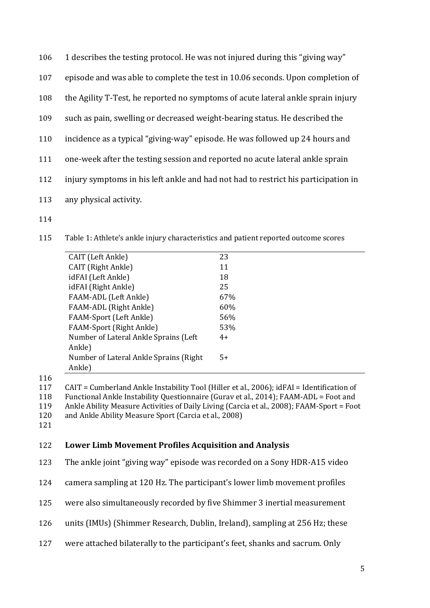- 1 describes the testing protocol. He was not injured during this "giving way"
- episode and was able to complete the test in 10.06 seconds. Upon completion of

the Agility T-Test, he reported no symptoms of acute lateral ankle sprain injury

- such as pain, swelling or decreased weight-bearing status. He described the
- incidence as a typical "giving-way" episode. He was followed up 24 hours and
- one-week after the testing session and reported no acute lateral ankle sprain
- injury symptoms in his left ankle and had not had to restrict his participation in
- any physical activity.
- 
- Table 1: Athlete's ankle injury characteristics and patient reported outcome scores

| CAIT (Left Ankle)                       | 23   |
|-----------------------------------------|------|
| CAIT (Right Ankle)                      | 11   |
| idFAI (Left Ankle)                      | 18   |
| idFAI (Right Ankle)                     | 25   |
| FAAM-ADL (Left Ankle)                   | 67%  |
| FAAM-ADL (Right Ankle)                  | 60%  |
| <b>FAAM-Sport (Left Ankle)</b>          | 56%  |
| <b>FAAM-Sport (Right Ankle)</b>         | 53%  |
| Number of Lateral Ankle Sprains (Left)  | $4+$ |
| Ankle)                                  |      |
| Number of Lateral Ankle Sprains (Right) | $5+$ |
| Ankle)                                  |      |
|                                         |      |

CAIT = Cumberland Ankle Instability Tool (Hiller et al., 2006); idFAI = Identification of

- Functional Ankle Instability Questionnaire (Gurav et al., 2014); FAAM-ADL = Foot and Ankle Ability Measure Activities of Daily Living (Carcia et al., 2008); FAAM-Sport = Foot
- and Ankle Ability Measure Sport (Carcia et al., 2008)
- 

#### **Lower Limb Movement Profiles Acquisition and Analysis**

The ankle joint "giving way" episode was recorded on a Sony HDR-A15 video

camera sampling at 120 Hz. The participant's lower limb movement profiles

- were also simultaneously recorded by five Shimmer 3 inertial measurement
- units (IMUs) (Shimmer Research, Dublin, Ireland), sampling at 256 Hz; these
- were attached bilaterally to the participant's feet, shanks and sacrum. Only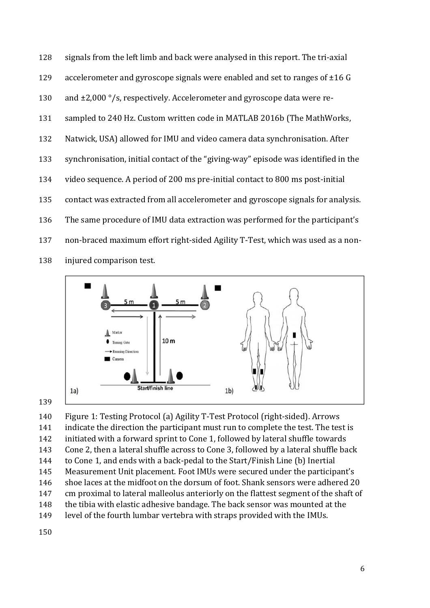signals from the left limb and back were analysed in this report. The tri-axial accelerometer and gyroscope signals were enabled and set to ranges of ±16 G 130 and  $\pm 2,000$  °/s, respectively. Accelerometer and gyroscope data were re-131 sampled to 240 Hz. Custom written code in MATLAB 2016b (The MathWorks, Natwick, USA) allowed for IMU and video camera data synchronisation. After synchronisation, initial contact of the "giving-way" episode was identified in the video sequence. A period of 200 ms pre-initial contact to 800 ms post-initial contact was extracted from all accelerometer and gyroscope signals for analysis. The same procedure of IMU data extraction was performed for the participant's non-braced maximum effort right-sided Agility T-Test, which was used as a non-injured comparison test.





 Figure 1: Testing Protocol (a) Agility T-Test Protocol (right-sided). Arrows indicate the direction the participant must run to complete the test. The test is initiated with a forward sprint to Cone 1, followed by lateral shuffle towards Cone 2, then a lateral shuffle across to Cone 3, followed by a lateral shuffle back to Cone 1, and ends with a back-pedal to the Start/Finish Line (b) Inertial Measurement Unit placement. Foot IMUs were secured under the participant's shoe laces at the midfoot on the dorsum of foot. Shank sensors were adhered 20 cm proximal to lateral malleolus anteriorly on the flattest segment of the shaft of the tibia with elastic adhesive bandage. The back sensor was mounted at the level of the fourth lumbar vertebra with straps provided with the IMUs.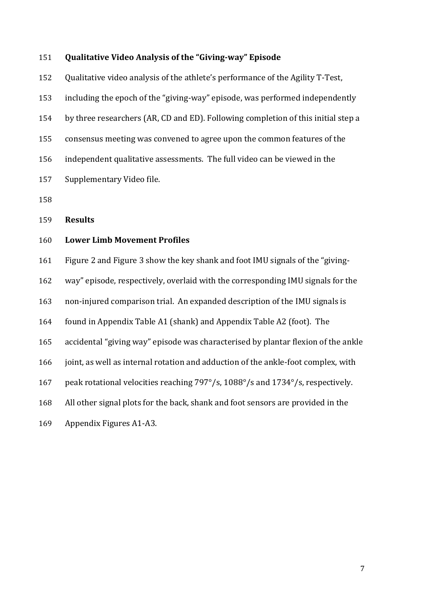#### **Qualitative Video Analysis of the "Giving-way" Episode**

 Qualitative video analysis of the athlete's performance of the Agility T-Test, including the epoch of the "giving-way" episode, was performed independently by three researchers (AR, CD and ED). Following completion of this initial step a consensus meeting was convened to agree upon the common features of the independent qualitative assessments. The full video can be viewed in the Supplementary Video file.

**Results**

## **Lower Limb Movement Profiles**

Figure 2 and Figure 3 show the key shank and foot IMU signals of the "giving-

way" episode, respectively, overlaid with the corresponding IMU signals for the

non-injured comparison trial. An expanded description of the IMU signals is

found in Appendix Table A1 (shank) and Appendix Table A2 (foot). The

accidental "giving way" episode was characterised by plantar flexion of the ankle

joint, as well as internal rotation and adduction of the ankle-foot complex, with

peak rotational velocities reaching 797°/s, 1088°/s and 1734°/s, respectively.

All other signal plots for the back, shank and foot sensors are provided in the

Appendix Figures A1-A3.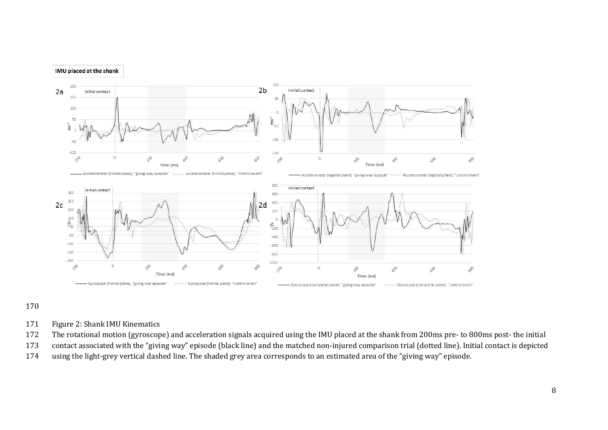

- Figure 2: Shank IMU Kinematics
- The rotational motion (gyroscope) and acceleration signals acquired using the IMU placed at the shank from 200ms pre- to 800ms post- the initial
- contact associated with the "giving way" episode (black line) and the matched non-injured comparison trial (dotted line). Initial contact is depicted
- using the light-grey vertical dashed line. The shaded grey area corresponds to an estimated area of the "giving way" episode.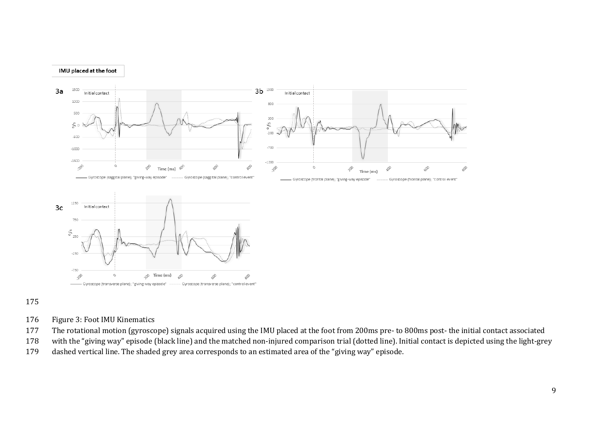



- Figure 3: Foot IMU Kinematics
- The rotational motion (gyroscope) signals acquired using the IMU placed at the foot from 200ms pre- to 800ms post- the initial contact associated
- with the "giving way" episode (black line) and the matched non-injured comparison trial (dotted line). Initial contact is depicted using the light-grey
- dashed vertical line. The shaded grey area corresponds to an estimated area of the "giving way" episode.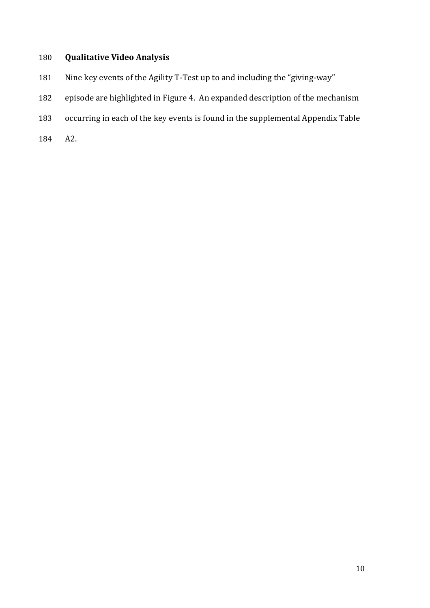# **Qualitative Video Analysis**

- Nine key events of the Agility T-Test up to and including the "giving-way"
- episode are highlighted in Figure 4. An expanded description of the mechanism
- occurring in each of the key events is found in the supplemental Appendix Table
- A2.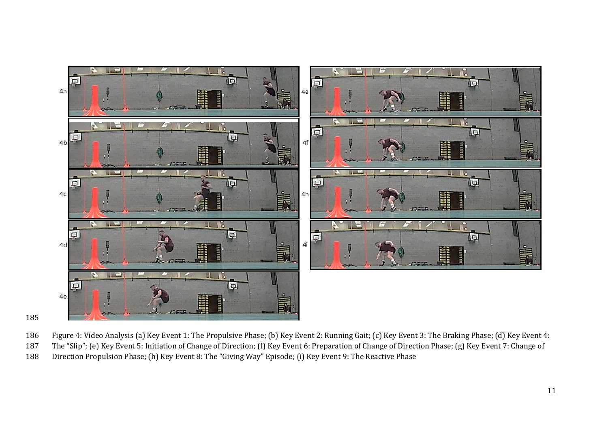

- Figure 4: Video Analysis (a) Key Event 1: The Propulsive Phase; (b) Key Event 2: Running Gait; (c) Key Event 3: The Braking Phase; (d) Key Event 4:
- The "Slip"; (e) Key Event 5: Initiation of Change of Direction; (f) Key Event 6: Preparation of Change of Direction Phase; (g) Key Event 7: Change of
- Direction Propulsion Phase; (h) Key Event 8: The "Giving Way" Episode; (i) Key Event 9: The Reactive Phase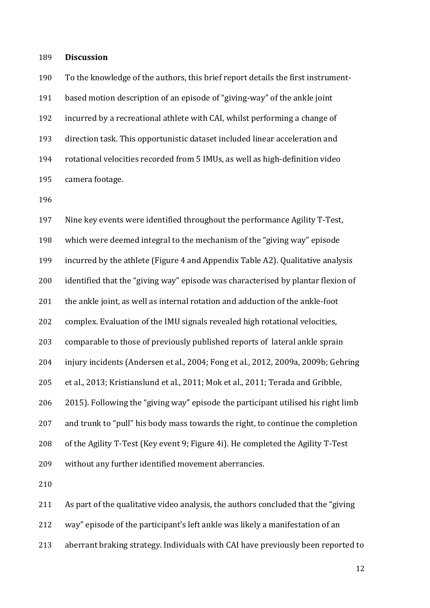**Discussion**

 To the knowledge of the authors, this brief report details the first instrument- based motion description of an episode of "giving-way" of the ankle joint incurred by a recreational athlete with CAI, whilst performing a change of direction task. This opportunistic dataset included linear acceleration and rotational velocities recorded from 5 IMUs, as well as high-definition video camera footage.

 Nine key events were identified throughout the performance Agility T-Test, which were deemed integral to the mechanism of the "giving way" episode incurred by the athlete (Figure 4 and Appendix Table A2). Qualitative analysis identified that the "giving way" episode was characterised by plantar flexion of the ankle joint, as well as internal rotation and adduction of the ankle-foot complex. Evaluation of the IMU signals revealed high rotational velocities, comparable to those of previously published reports of lateral ankle sprain injury incidents (Andersen et al., 2004; Fong et al., 2012, 2009a, 2009b; Gehring et al., 2013; Kristianslund et al., 2011; Mok et al., 2011; Terada and Gribble, 2015). Following the "giving way" episode the participant utilised his right limb and trunk to "pull" his body mass towards the right, to continue the completion of the Agility T-Test (Key event 9; Figure 4i). He completed the Agility T-Test without any further identified movement aberrancies.

As part of the qualitative video analysis, the authors concluded that the "giving

way" episode of the participant's left ankle was likely a manifestation of an

aberrant braking strategy. Individuals with CAI have previously been reported to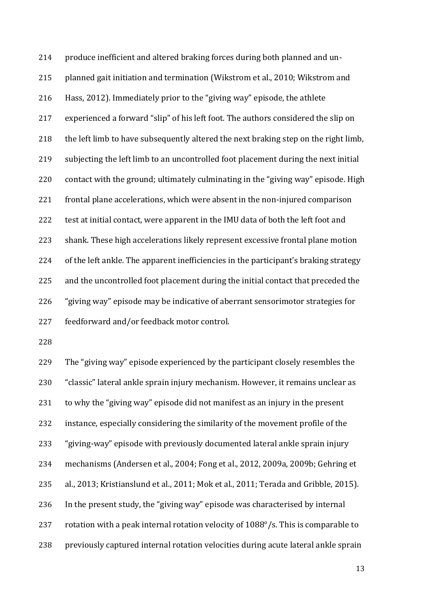produce inefficient and altered braking forces during both planned and un- planned gait initiation and termination (Wikstrom et al., 2010; Wikstrom and Hass, 2012). Immediately prior to the "giving way" episode, the athlete experienced a forward "slip" of his left foot. The authors considered the slip on the left limb to have subsequently altered the next braking step on the right limb, subjecting the left limb to an uncontrolled foot placement during the next initial contact with the ground; ultimately culminating in the "giving way" episode. High frontal plane accelerations, which were absent in the non-injured comparison test at initial contact, were apparent in the IMU data of both the left foot and shank. These high accelerations likely represent excessive frontal plane motion of the left ankle. The apparent inefficiencies in the participant's braking strategy and the uncontrolled foot placement during the initial contact that preceded the "giving way" episode may be indicative of aberrant sensorimotor strategies for feedforward and/or feedback motor control.

 The "giving way" episode experienced by the participant closely resembles the "classic" lateral ankle sprain injury mechanism. However, it remains unclear as to why the "giving way" episode did not manifest as an injury in the present instance, especially considering the similarity of the movement profile of the "giving-way" episode with previously documented lateral ankle sprain injury mechanisms (Andersen et al., 2004; Fong et al., 2012, 2009a, 2009b; Gehring et al., 2013; Kristianslund et al., 2011; Mok et al., 2011; Terada and Gribble, 2015). In the present study, the "giving way" episode was characterised by internal rotation with a peak internal rotation velocity of 1088°/s. This is comparable to previously captured internal rotation velocities during acute lateral ankle sprain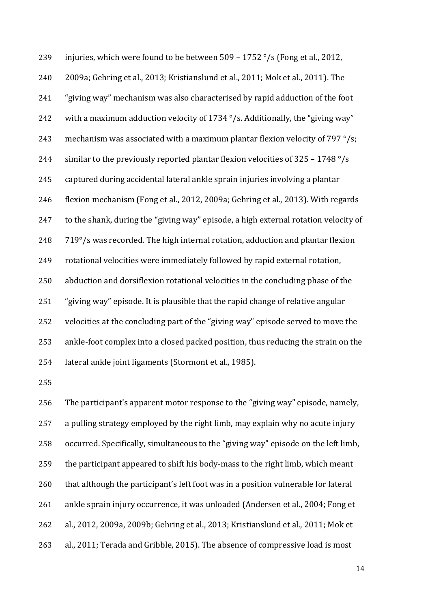239 injuries, which were found to be between  $509 - 1752$  °/s (Fong et al., 2012, 2009a; Gehring et al., 2013; Kristianslund et al., 2011; Mok et al., 2011). The "giving way" mechanism was also characterised by rapid adduction of the foot 242 with a maximum adduction velocity of 1734 $\degree$ /s. Additionally, the "giving way" 243 mechanism was associated with a maximum plantar flexion velocity of  $797^{\circ}/s$ ; 244 similar to the previously reported plantar flexion velocities of 325 - 1748 °/s captured during accidental lateral ankle sprain injuries involving a plantar flexion mechanism (Fong et al., 2012, 2009a; Gehring et al., 2013). With regards to the shank, during the "giving way" episode, a high external rotation velocity of 719°/s was recorded. The high internal rotation, adduction and plantar flexion rotational velocities were immediately followed by rapid external rotation, abduction and dorsiflexion rotational velocities in the concluding phase of the "giving way" episode. It is plausible that the rapid change of relative angular velocities at the concluding part of the "giving way" episode served to move the ankle-foot complex into a closed packed position, thus reducing the strain on the lateral ankle joint ligaments (Stormont et al., 1985).

 The participant's apparent motor response to the "giving way" episode, namely, a pulling strategy employed by the right limb, may explain why no acute injury occurred. Specifically, simultaneous to the "giving way" episode on the left limb, the participant appeared to shift his body-mass to the right limb, which meant that although the participant's left foot was in a position vulnerable for lateral ankle sprain injury occurrence, it was unloaded (Andersen et al., 2004; Fong et al., 2012, 2009a, 2009b; Gehring et al., 2013; Kristianslund et al., 2011; Mok et al., 2011; Terada and Gribble, 2015). The absence of compressive load is most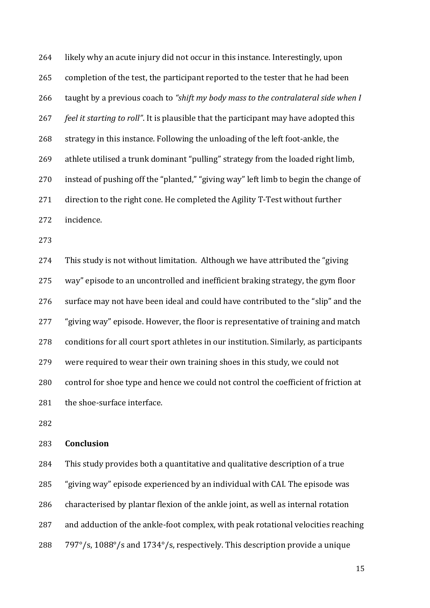likely why an acute injury did not occur in this instance. Interestingly, upon completion of the test, the participant reported to the tester that he had been taught by a previous coach to *"shift my body mass to the contralateral side when I feel it starting to roll"*. It is plausible that the participant may have adopted this strategy in this instance. Following the unloading of the left foot-ankle, the athlete utilised a trunk dominant "pulling" strategy from the loaded right limb, instead of pushing off the "planted," "giving way" left limb to begin the change of direction to the right cone. He completed the Agility T-Test without further incidence.

 This study is not without limitation. Although we have attributed the "giving way" episode to an uncontrolled and inefficient braking strategy, the gym floor surface may not have been ideal and could have contributed to the "slip" and the "giving way" episode. However, the floor is representative of training and match conditions for all court sport athletes in our institution. Similarly, as participants were required to wear their own training shoes in this study, we could not control for shoe type and hence we could not control the coefficient of friction at 281 the shoe-surface interface.

## **Conclusion**

 This study provides both a quantitative and qualitative description of a true "giving way" episode experienced by an individual with CAI. The episode was characterised by plantar flexion of the ankle joint, as well as internal rotation and adduction of the ankle-foot complex, with peak rotational velocities reaching 797°/s, 1088°/s and 1734°/s, respectively. This description provide a unique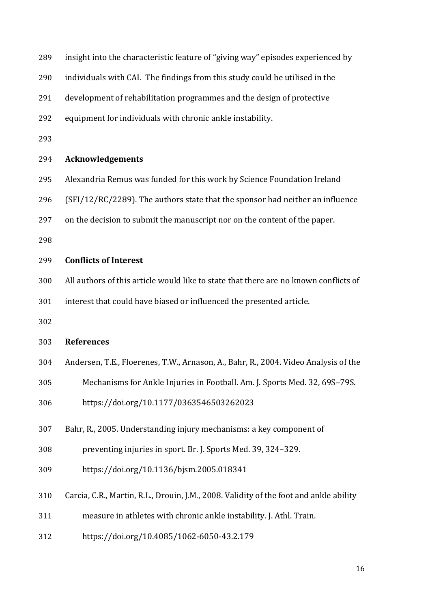| 289 | insight into the characteristic feature of "giving way" episodes experienced by        |
|-----|----------------------------------------------------------------------------------------|
| 290 | individuals with CAI. The findings from this study could be utilised in the            |
| 291 | development of rehabilitation programmes and the design of protective                  |
| 292 | equipment for individuals with chronic ankle instability.                              |
| 293 |                                                                                        |
| 294 | <b>Acknowledgements</b>                                                                |
| 295 | Alexandria Remus was funded for this work by Science Foundation Ireland                |
| 296 | (SFI/12/RC/2289). The authors state that the sponsor had neither an influence          |
| 297 | on the decision to submit the manuscript nor on the content of the paper.              |
| 298 |                                                                                        |
| 299 | <b>Conflicts of Interest</b>                                                           |
| 300 | All authors of this article would like to state that there are no known conflicts of   |
| 301 | interest that could have biased or influenced the presented article.                   |
| 302 |                                                                                        |
| 303 | <b>References</b>                                                                      |
| 304 | Andersen, T.E., Floerenes, T.W., Arnason, A., Bahr, R., 2004. Video Analysis of the    |
| 305 | Mechanisms for Ankle Injuries in Football. Am. J. Sports Med. 32, 69S-79S.             |
| 306 | https://doi.org/10.1177/0363546503262023                                               |
| 307 | Bahr, R., 2005. Understanding injury mechanisms: a key component of                    |
| 308 | preventing injuries in sport. Br. J. Sports Med. 39, 324-329.                          |
| 309 | https://doi.org/10.1136/bjsm.2005.018341                                               |
| 310 | Carcia, C.R., Martin, R.L., Drouin, J.M., 2008. Validity of the foot and ankle ability |
|     |                                                                                        |
| 311 | measure in athletes with chronic ankle instability. J. Athl. Train.                    |
| 312 | https://doi.org/10.4085/1062-6050-43.2.179                                             |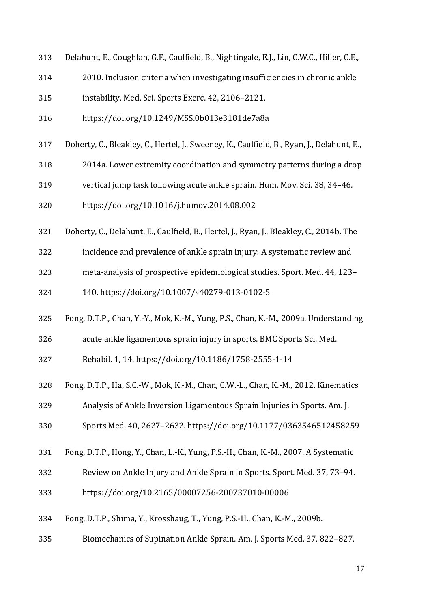- Delahunt, E., Coughlan, G.F., Caulfield, B., Nightingale, E.J., Lin, C.W.C., Hiller, C.E.,
- 2010. Inclusion criteria when investigating insufficiencies in chronic ankle
- instability. Med. Sci. Sports Exerc. 42, 2106–2121.
- https://doi.org/10.1249/MSS.0b013e3181de7a8a
- Doherty, C., Bleakley, C., Hertel, J., Sweeney, K., Caulfield, B., Ryan, J., Delahunt, E.,
- 2014a. Lower extremity coordination and symmetry patterns during a drop
- vertical jump task following acute ankle sprain. Hum. Mov. Sci. 38, 34–46.
- https://doi.org/10.1016/j.humov.2014.08.002
- Doherty, C., Delahunt, E., Caulfield, B., Hertel, J., Ryan, J., Bleakley, C., 2014b. The
- incidence and prevalence of ankle sprain injury: A systematic review and
- meta-analysis of prospective epidemiological studies. Sport. Med. 44, 123–

140. https://doi.org/10.1007/s40279-013-0102-5

- Fong, D.T.P., Chan, Y.-Y., Mok, K.-M., Yung, P.S., Chan, K.-M., 2009a. Understanding
- acute ankle ligamentous sprain injury in sports. BMC Sports Sci. Med.

Rehabil. 1, 14. https://doi.org/10.1186/1758-2555-1-14

- Fong, D.T.P., Ha, S.C.-W., Mok, K.-M., Chan, C.W.-L., Chan, K.-M., 2012. Kinematics
- Analysis of Ankle Inversion Ligamentous Sprain Injuries in Sports. Am. J.
- Sports Med. 40, 2627–2632. https://doi.org/10.1177/0363546512458259
- Fong, D.T.P., Hong, Y., Chan, L.-K., Yung, P.S.-H., Chan, K.-M., 2007. A Systematic
- Review on Ankle Injury and Ankle Sprain in Sports. Sport. Med. 37, 73–94.
- https://doi.org/10.2165/00007256-200737010-00006
- Fong, D.T.P., Shima, Y., Krosshaug, T., Yung, P.S.-H., Chan, K.-M., 2009b.
- Biomechanics of Supination Ankle Sprain. Am. J. Sports Med. 37, 822–827.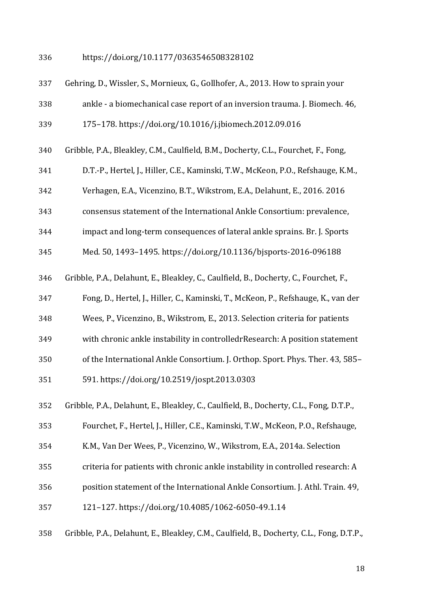https://doi.org/10.1177/0363546508328102

| 337 | Gehring, D., Wissler, S., Mornieux, G., Gollhofer, A., 2013. How to sprain your         |
|-----|-----------------------------------------------------------------------------------------|
| 338 | ankle - a biomechanical case report of an inversion trauma. J. Biomech. 46,             |
| 339 | 175-178. https://doi.org/10.1016/j.jbiomech.2012.09.016                                 |
| 340 | Gribble, P.A., Bleakley, C.M., Caulfield, B.M., Docherty, C.L., Fourchet, F., Fong,     |
| 341 | D.T.-P., Hertel, J., Hiller, C.E., Kaminski, T.W., McKeon, P.O., Refshauge, K.M.,       |
| 342 | Verhagen, E.A., Vicenzino, B.T., Wikstrom, E.A., Delahunt, E., 2016. 2016               |
| 343 | consensus statement of the International Ankle Consortium: prevalence,                  |
| 344 | impact and long-term consequences of lateral ankle sprains. Br. J. Sports               |
| 345 | Med. 50, 1493-1495. https://doi.org/10.1136/bjsports-2016-096188                        |
| 346 | Gribble, P.A., Delahunt, E., Bleakley, C., Caulfield, B., Docherty, C., Fourchet, F.,   |
| 347 | Fong, D., Hertel, J., Hiller, C., Kaminski, T., McKeon, P., Refshauge, K., van der      |
| 348 | Wees, P., Vicenzino, B., Wikstrom, E., 2013. Selection criteria for patients            |
| 349 | with chronic ankle instability in controlledrResearch: A position statement             |
| 350 | of the International Ankle Consortium. J. Orthop. Sport. Phys. Ther. 43, 585-           |
| 351 | 591. https://doi.org/10.2519/jospt.2013.0303                                            |
| 352 | Gribble, P.A., Delahunt, E., Bleakley, C., Caulfield, B., Docherty, C.L., Fong, D.T.P., |
| 353 | Fourchet, F., Hertel, J., Hiller, C.E., Kaminski, T.W., McKeon, P.O., Refshauge,        |
| 354 | K.M., Van Der Wees, P., Vicenzino, W., Wikstrom, E.A., 2014a. Selection                 |
| 355 | criteria for patients with chronic ankle instability in controlled research: A          |
| 356 | position statement of the International Ankle Consortium. J. Athl. Train. 49,           |
| 357 | 121-127. https://doi.org/10.4085/1062-6050-49.1.14                                      |
|     |                                                                                         |

Gribble, P.A., Delahunt, E., Bleakley, C.M., Caulfield, B., Docherty, C.L., Fong, D.T.P.,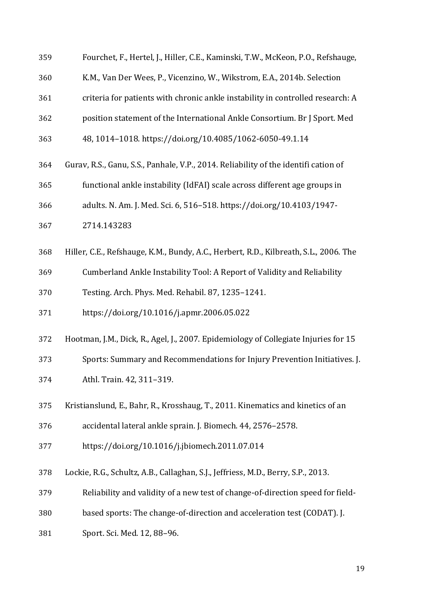| 359 | Fourchet, F., Hertel, J., Hiller, C.E., Kaminski, T.W., McKeon, P.O., Refshauge,      |
|-----|---------------------------------------------------------------------------------------|
| 360 | K.M., Van Der Wees, P., Vicenzino, W., Wikstrom, E.A., 2014b. Selection               |
| 361 | criteria for patients with chronic ankle instability in controlled research: A        |
| 362 | position statement of the International Ankle Consortium. Br J Sport. Med             |
| 363 | 48, 1014-1018. https://doi.org/10.4085/1062-6050-49.1.14                              |
| 364 | Gurav, R.S., Ganu, S.S., Panhale, V.P., 2014. Reliability of the identifi cation of   |
| 365 | functional ankle instability (IdFAI) scale across different age groups in             |
| 366 | adults. N. Am. J. Med. Sci. 6, 516-518. https://doi.org/10.4103/1947-                 |
| 367 | 2714.143283                                                                           |
| 368 | Hiller, C.E., Refshauge, K.M., Bundy, A.C., Herbert, R.D., Kilbreath, S.L., 2006. The |
| 369 | Cumberland Ankle Instability Tool: A Report of Validity and Reliability               |
| 370 | Testing. Arch. Phys. Med. Rehabil. 87, 1235-1241.                                     |
| 371 | https://doi.org/10.1016/j.apmr.2006.05.022                                            |
| 372 | Hootman, J.M., Dick, R., Agel, J., 2007. Epidemiology of Collegiate Injuries for 15   |
| 373 | Sports: Summary and Recommendations for Injury Prevention Initiatives. J.             |
| 374 | Athl. Train. 42, 311-319.                                                             |
| 375 | Kristianslund, E., Bahr, R., Krosshaug, T., 2011. Kinematics and kinetics of an       |
| 376 | accidental lateral ankle sprain. J. Biomech. 44, 2576-2578.                           |
| 377 | https://doi.org/10.1016/j.jbiomech.2011.07.014                                        |
| 378 | Lockie, R.G., Schultz, A.B., Callaghan, S.J., Jeffriess, M.D., Berry, S.P., 2013.     |
| 379 | Reliability and validity of a new test of change-of-direction speed for field-        |
| 380 | based sports: The change-of-direction and acceleration test (CODAT). J.               |
| 381 | Sport. Sci. Med. 12, 88-96.                                                           |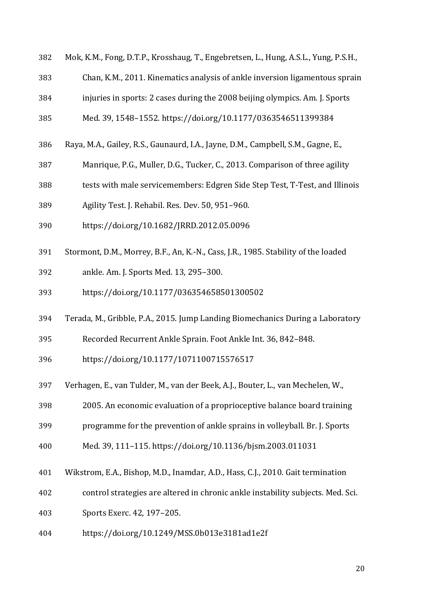- Mok, K.M., Fong, D.T.P., Krosshaug, T., Engebretsen, L., Hung, A.S.L., Yung, P.S.H.,
- Chan, K.M., 2011. Kinematics analysis of ankle inversion ligamentous sprain
- injuries in sports: 2 cases during the 2008 beijing olympics. Am. J. Sports
- Med. 39, 1548–1552. https://doi.org/10.1177/0363546511399384
- Raya, M.A., Gailey, R.S., Gaunaurd, I.A., Jayne, D.M., Campbell, S.M., Gagne, E.,
- Manrique, P.G., Muller, D.G., Tucker, C., 2013. Comparison of three agility
- tests with male servicemembers: Edgren Side Step Test, T-Test, and Illinois
- Agility Test. J. Rehabil. Res. Dev. 50, 951–960.
- https://doi.org/10.1682/JRRD.2012.05.0096
- Stormont, D.M., Morrey, B.F., An, K.-N., Cass, J.R., 1985. Stability of the loaded
- ankle. Am. J. Sports Med. 13, 295–300.
- https://doi.org/10.1177/036354658501300502
- Terada, M., Gribble, P.A., 2015. Jump Landing Biomechanics During a Laboratory
- Recorded Recurrent Ankle Sprain. Foot Ankle Int. 36, 842–848.
- https://doi.org/10.1177/1071100715576517
- Verhagen, E., van Tulder, M., van der Beek, A.J., Bouter, L., van Mechelen, W.,
- 2005. An economic evaluation of a proprioceptive balance board training
- programme for the prevention of ankle sprains in volleyball. Br. J. Sports
- Med. 39, 111–115. https://doi.org/10.1136/bjsm.2003.011031
- Wikstrom, E.A., Bishop, M.D., Inamdar, A.D., Hass, C.J., 2010. Gait termination
- control strategies are altered in chronic ankle instability subjects. Med. Sci.

Sports Exerc. 42, 197–205.

https://doi.org/10.1249/MSS.0b013e3181ad1e2f